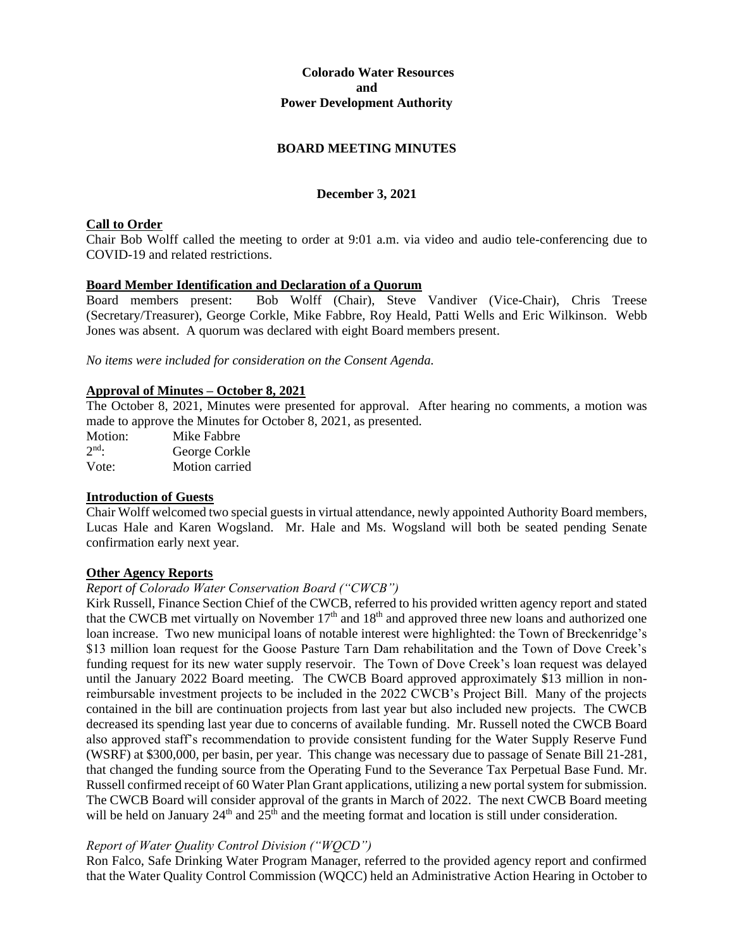# **Colorado Water Resources and Power Development Authority**

# **BOARD MEETING MINUTES**

# **December 3, 2021**

# **Call to Order**

Chair Bob Wolff called the meeting to order at 9:01 a.m. via video and audio tele-conferencing due to COVID-19 and related restrictions.

#### **Board Member Identification and Declaration of a Quorum**

Board members present: Bob Wolff (Chair), Steve Vandiver (Vice-Chair), Chris Treese (Secretary/Treasurer), George Corkle, Mike Fabbre, Roy Heald, Patti Wells and Eric Wilkinson. Webb Jones was absent. A quorum was declared with eight Board members present.

*No items were included for consideration on the Consent Agenda.*

#### **Approval of Minutes – October 8, 2021**

The October 8, 2021, Minutes were presented for approval. After hearing no comments, a motion was made to approve the Minutes for October 8, 2021, as presented.

Motion: Mike Fabbre  $2^{nd}$ . George Corkle Vote: Motion carried

# **Introduction of Guests**

Chair Wolff welcomed two special guests in virtual attendance, newly appointed Authority Board members, Lucas Hale and Karen Wogsland. Mr. Hale and Ms. Wogsland will both be seated pending Senate confirmation early next year.

#### **Other Agency Reports**

#### *Report of Colorado Water Conservation Board ("CWCB")*

Kirk Russell, Finance Section Chief of the CWCB, referred to his provided written agency report and stated that the CWCB met virtually on November  $17<sup>th</sup>$  and  $18<sup>th</sup>$  and approved three new loans and authorized one loan increase. Two new municipal loans of notable interest were highlighted: the Town of Breckenridge's \$13 million loan request for the Goose Pasture Tarn Dam rehabilitation and the Town of Dove Creek's funding request for its new water supply reservoir. The Town of Dove Creek's loan request was delayed until the January 2022 Board meeting. The CWCB Board approved approximately \$13 million in nonreimbursable investment projects to be included in the 2022 CWCB's Project Bill. Many of the projects contained in the bill are continuation projects from last year but also included new projects. The CWCB decreased its spending last year due to concerns of available funding. Mr. Russell noted the CWCB Board also approved staff's recommendation to provide consistent funding for the Water Supply Reserve Fund (WSRF) at \$300,000, per basin, per year. This change was necessary due to passage of Senate Bill 21-281, that changed the funding source from the Operating Fund to the Severance Tax Perpetual Base Fund. Mr. Russell confirmed receipt of 60 Water Plan Grant applications, utilizing a new portal system for submission. The CWCB Board will consider approval of the grants in March of 2022. The next CWCB Board meeting will be held on January  $24<sup>th</sup>$  and  $25<sup>th</sup>$  and the meeting format and location is still under consideration.

# *Report of Water Quality Control Division ("WQCD")*

Ron Falco, Safe Drinking Water Program Manager, referred to the provided agency report and confirmed that the Water Quality Control Commission (WQCC) held an Administrative Action Hearing in October to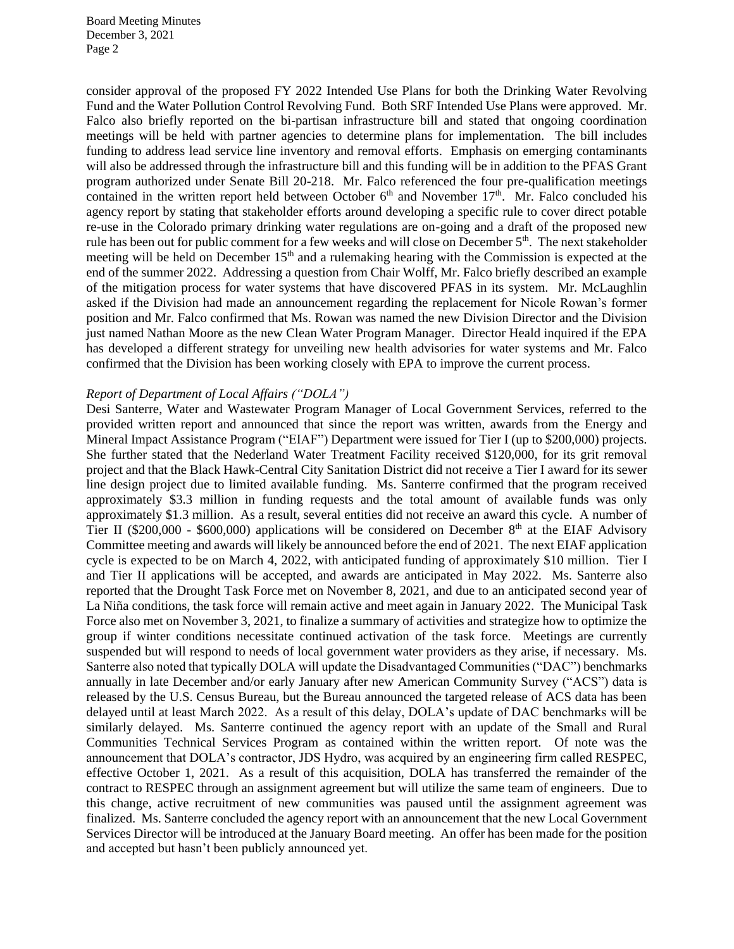consider approval of the proposed FY 2022 Intended Use Plans for both the Drinking Water Revolving Fund and the Water Pollution Control Revolving Fund. Both SRF Intended Use Plans were approved. Mr. Falco also briefly reported on the bi-partisan infrastructure bill and stated that ongoing coordination meetings will be held with partner agencies to determine plans for implementation. The bill includes funding to address lead service line inventory and removal efforts. Emphasis on emerging contaminants will also be addressed through the infrastructure bill and this funding will be in addition to the PFAS Grant program authorized under Senate Bill 20-218. Mr. Falco referenced the four pre-qualification meetings contained in the written report held between October  $6<sup>th</sup>$  and November 17<sup>th</sup>. Mr. Falco concluded his agency report by stating that stakeholder efforts around developing a specific rule to cover direct potable re-use in the Colorado primary drinking water regulations are on-going and a draft of the proposed new rule has been out for public comment for a few weeks and will close on December 5<sup>th</sup>. The next stakeholder meeting will be held on December 15<sup>th</sup> and a rulemaking hearing with the Commission is expected at the end of the summer 2022. Addressing a question from Chair Wolff, Mr. Falco briefly described an example of the mitigation process for water systems that have discovered PFAS in its system. Mr. McLaughlin asked if the Division had made an announcement regarding the replacement for Nicole Rowan's former position and Mr. Falco confirmed that Ms. Rowan was named the new Division Director and the Division just named Nathan Moore as the new Clean Water Program Manager. Director Heald inquired if the EPA has developed a different strategy for unveiling new health advisories for water systems and Mr. Falco confirmed that the Division has been working closely with EPA to improve the current process.

#### *Report of Department of Local Affairs ("DOLA")*

Desi Santerre, Water and Wastewater Program Manager of Local Government Services, referred to the provided written report and announced that since the report was written, awards from the Energy and Mineral Impact Assistance Program ("EIAF") Department were issued for Tier I (up to \$200,000) projects. She further stated that the Nederland Water Treatment Facility received \$120,000, for its grit removal project and that the Black Hawk-Central City Sanitation District did not receive a Tier I award for its sewer line design project due to limited available funding. Ms. Santerre confirmed that the program received approximately \$3.3 million in funding requests and the total amount of available funds was only approximately \$1.3 million. As a result, several entities did not receive an award this cycle. A number of Tier II (\$200,000 - \$600,000) applications will be considered on December  $8<sup>th</sup>$  at the EIAF Advisory Committee meeting and awards will likely be announced before the end of 2021. The next EIAF application cycle is expected to be on March 4, 2022, with anticipated funding of approximately \$10 million. Tier I and Tier II applications will be accepted, and awards are anticipated in May 2022. Ms. Santerre also reported that the Drought Task Force met on November 8, 2021, and due to an anticipated second year of La Niña conditions, the task force will remain active and meet again in January 2022. The Municipal Task Force also met on November 3, 2021, to finalize a summary of activities and strategize how to optimize the group if winter conditions necessitate continued activation of the task force. Meetings are currently suspended but will respond to needs of local government water providers as they arise, if necessary. Ms. Santerre also noted that typically DOLA will update the Disadvantaged Communities ("DAC") benchmarks annually in late December and/or early January after new American Community Survey ("ACS") data is released by the U.S. Census Bureau, but the Bureau announced the targeted release of ACS data has been delayed until at least March 2022. As a result of this delay, DOLA's update of DAC benchmarks will be similarly delayed. Ms. Santerre continued the agency report with an update of the Small and Rural Communities Technical Services Program as contained within the written report. Of note was the announcement that DOLA's contractor, JDS Hydro, was acquired by an engineering firm called RESPEC, effective October 1, 2021. As a result of this acquisition, DOLA has transferred the remainder of the contract to RESPEC through an assignment agreement but will utilize the same team of engineers. Due to this change, active recruitment of new communities was paused until the assignment agreement was finalized. Ms. Santerre concluded the agency report with an announcement that the new Local Government Services Director will be introduced at the January Board meeting. An offer has been made for the position and accepted but hasn't been publicly announced yet.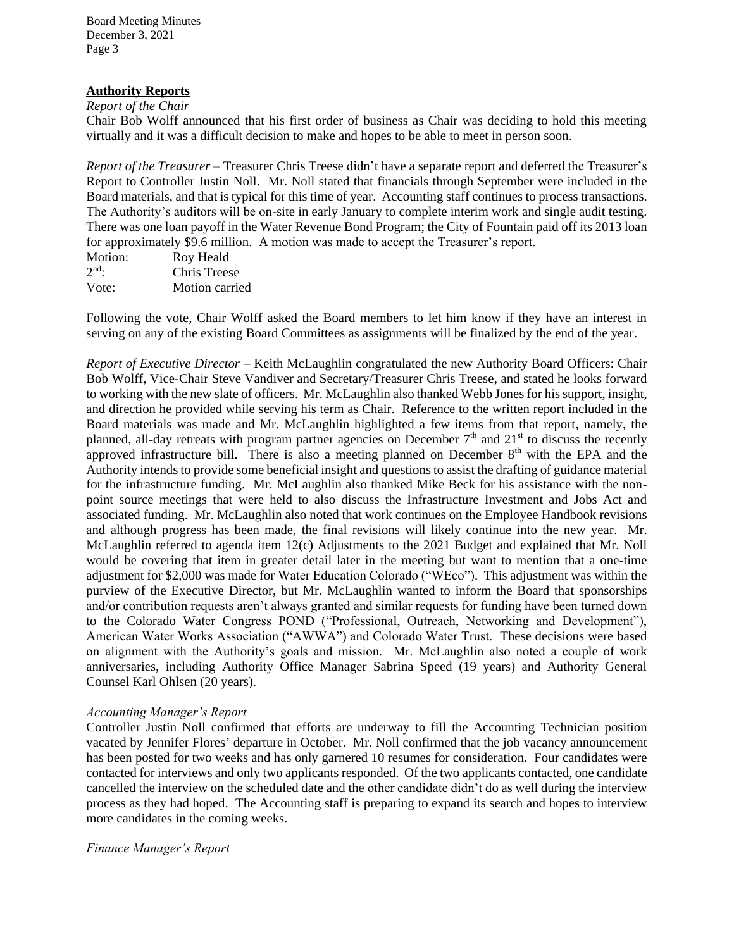#### **Authority Reports**

# *Report of the Chair*

Chair Bob Wolff announced that his first order of business as Chair was deciding to hold this meeting virtually and it was a difficult decision to make and hopes to be able to meet in person soon.

*Report of the Treasurer –* Treasurer Chris Treese didn't have a separate report and deferred the Treasurer's Report to Controller Justin Noll. Mr. Noll stated that financials through September were included in the Board materials, and that is typical for this time of year. Accounting staff continues to process transactions. The Authority's auditors will be on-site in early January to complete interim work and single audit testing. There was one loan payoff in the Water Revenue Bond Program; the City of Fountain paid off its 2013 loan for approximately \$9.6 million. A motion was made to accept the Treasurer's report.

| Motion: | Roy Heald      |
|---------|----------------|
| $2nd$ . | Chris Treese   |
| Vote:   | Motion carried |

Following the vote, Chair Wolff asked the Board members to let him know if they have an interest in serving on any of the existing Board Committees as assignments will be finalized by the end of the year.

*Report of Executive Director* – Keith McLaughlin congratulated the new Authority Board Officers: Chair Bob Wolff, Vice-Chair Steve Vandiver and Secretary/Treasurer Chris Treese, and stated he looks forward to working with the new slate of officers. Mr. McLaughlin also thanked Webb Jones for his support, insight, and direction he provided while serving his term as Chair. Reference to the written report included in the Board materials was made and Mr. McLaughlin highlighted a few items from that report, namely, the planned, all-day retreats with program partner agencies on December  $7<sup>th</sup>$  and  $21<sup>st</sup>$  to discuss the recently approved infrastructure bill. There is also a meeting planned on December  $8<sup>th</sup>$  with the EPA and the Authority intends to provide some beneficial insight and questions to assist the drafting of guidance material for the infrastructure funding. Mr. McLaughlin also thanked Mike Beck for his assistance with the nonpoint source meetings that were held to also discuss the Infrastructure Investment and Jobs Act and associated funding. Mr. McLaughlin also noted that work continues on the Employee Handbook revisions and although progress has been made, the final revisions will likely continue into the new year. Mr. McLaughlin referred to agenda item 12(c) Adjustments to the 2021 Budget and explained that Mr. Noll would be covering that item in greater detail later in the meeting but want to mention that a one-time adjustment for \$2,000 was made for Water Education Colorado ("WEco"). This adjustment was within the purview of the Executive Director, but Mr. McLaughlin wanted to inform the Board that sponsorships and/or contribution requests aren't always granted and similar requests for funding have been turned down to the Colorado Water Congress POND ("Professional, Outreach, Networking and Development"), American Water Works Association ("AWWA") and Colorado Water Trust. These decisions were based on alignment with the Authority's goals and mission. Mr. McLaughlin also noted a couple of work anniversaries, including Authority Office Manager Sabrina Speed (19 years) and Authority General Counsel Karl Ohlsen (20 years).

# *Accounting Manager's Report*

Controller Justin Noll confirmed that efforts are underway to fill the Accounting Technician position vacated by Jennifer Flores' departure in October. Mr. Noll confirmed that the job vacancy announcement has been posted for two weeks and has only garnered 10 resumes for consideration. Four candidates were contacted for interviews and only two applicants responded. Of the two applicants contacted, one candidate cancelled the interview on the scheduled date and the other candidate didn't do as well during the interview process as they had hoped. The Accounting staff is preparing to expand its search and hopes to interview more candidates in the coming weeks.

#### *Finance Manager's Report*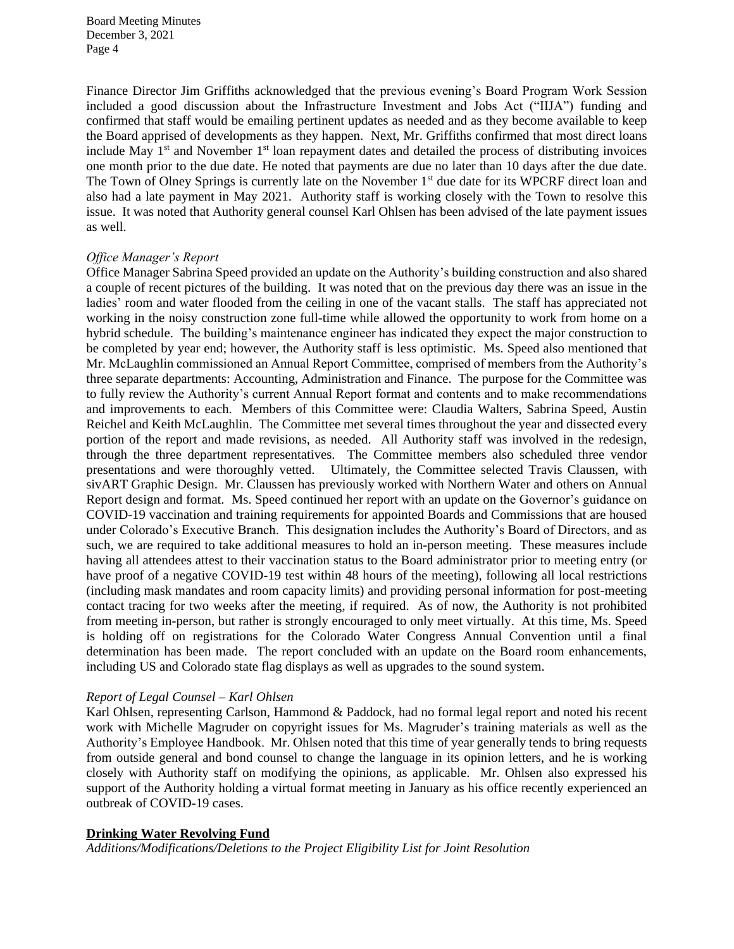Finance Director Jim Griffiths acknowledged that the previous evening's Board Program Work Session included a good discussion about the Infrastructure Investment and Jobs Act ("IIJA") funding and confirmed that staff would be emailing pertinent updates as needed and as they become available to keep the Board apprised of developments as they happen. Next, Mr. Griffiths confirmed that most direct loans include May  $1<sup>st</sup>$  and November  $1<sup>st</sup>$  loan repayment dates and detailed the process of distributing invoices one month prior to the due date. He noted that payments are due no later than 10 days after the due date. The Town of Olney Springs is currently late on the November 1<sup>st</sup> due date for its WPCRF direct loan and also had a late payment in May 2021. Authority staff is working closely with the Town to resolve this issue. It was noted that Authority general counsel Karl Ohlsen has been advised of the late payment issues as well.

# *Office Manager's Report*

Office Manager Sabrina Speed provided an update on the Authority's building construction and also shared a couple of recent pictures of the building. It was noted that on the previous day there was an issue in the ladies' room and water flooded from the ceiling in one of the vacant stalls. The staff has appreciated not working in the noisy construction zone full-time while allowed the opportunity to work from home on a hybrid schedule. The building's maintenance engineer has indicated they expect the major construction to be completed by year end; however, the Authority staff is less optimistic. Ms. Speed also mentioned that Mr. McLaughlin commissioned an Annual Report Committee, comprised of members from the Authority's three separate departments: Accounting, Administration and Finance. The purpose for the Committee was to fully review the Authority's current Annual Report format and contents and to make recommendations and improvements to each. Members of this Committee were: Claudia Walters, Sabrina Speed, Austin Reichel and Keith McLaughlin. The Committee met several times throughout the year and dissected every portion of the report and made revisions, as needed. All Authority staff was involved in the redesign, through the three department representatives. The Committee members also scheduled three vendor presentations and were thoroughly vetted. Ultimately, the Committee selected Travis Claussen, with sivART Graphic Design. Mr. Claussen has previously worked with Northern Water and others on Annual Report design and format. Ms. Speed continued her report with an update on the Governor's guidance on COVID-19 vaccination and training requirements for appointed Boards and Commissions that are housed under Colorado's Executive Branch. This designation includes the Authority's Board of Directors, and as such, we are required to take additional measures to hold an in-person meeting. These measures include having all attendees attest to their vaccination status to the Board administrator prior to meeting entry (or have proof of a negative COVID-19 test within 48 hours of the meeting), following all local restrictions (including mask mandates and room capacity limits) and providing personal information for post-meeting contact tracing for two weeks after the meeting, if required. As of now, the Authority is not prohibited from meeting in-person, but rather is strongly encouraged to only meet virtually. At this time, Ms. Speed is holding off on registrations for the Colorado Water Congress Annual Convention until a final determination has been made. The report concluded with an update on the Board room enhancements, including US and Colorado state flag displays as well as upgrades to the sound system.

#### *Report of Legal Counsel – Karl Ohlsen*

Karl Ohlsen, representing Carlson, Hammond & Paddock, had no formal legal report and noted his recent work with Michelle Magruder on copyright issues for Ms. Magruder's training materials as well as the Authority's Employee Handbook. Mr. Ohlsen noted that this time of year generally tends to bring requests from outside general and bond counsel to change the language in its opinion letters, and he is working closely with Authority staff on modifying the opinions, as applicable. Mr. Ohlsen also expressed his support of the Authority holding a virtual format meeting in January as his office recently experienced an outbreak of COVID-19 cases.

# **Drinking Water Revolving Fund**

*Additions/Modifications/Deletions to the Project Eligibility List for Joint Resolution*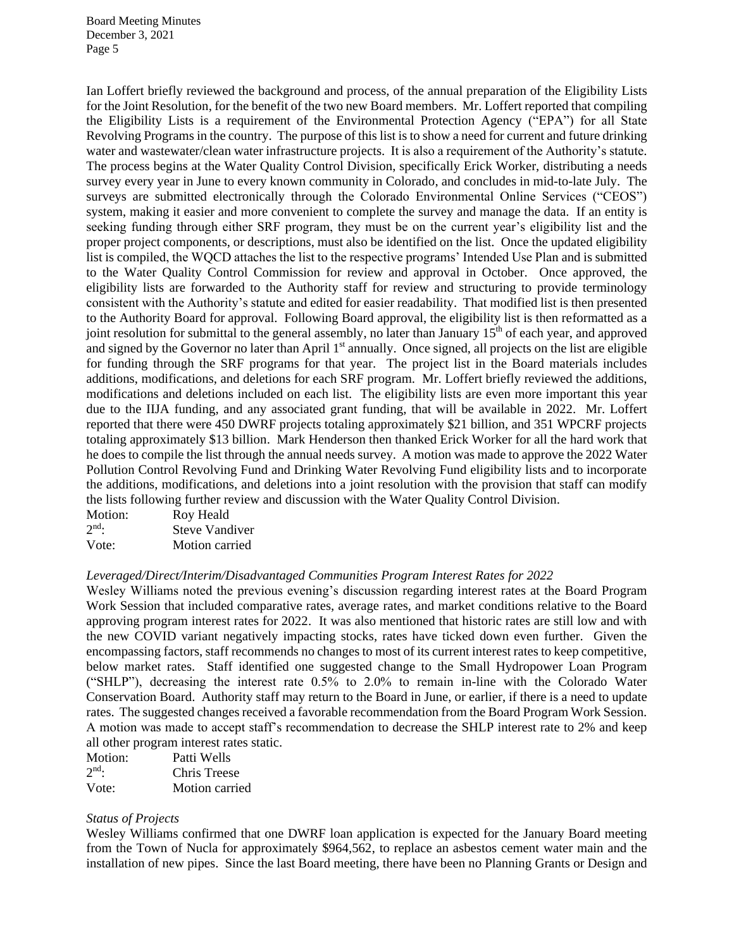Ian Loffert briefly reviewed the background and process, of the annual preparation of the Eligibility Lists for the Joint Resolution, for the benefit of the two new Board members. Mr. Loffert reported that compiling the Eligibility Lists is a requirement of the Environmental Protection Agency ("EPA") for all State Revolving Programs in the country. The purpose of this list is to show a need for current and future drinking water and wastewater/clean water infrastructure projects. It is also a requirement of the Authority's statute. The process begins at the Water Quality Control Division, specifically Erick Worker, distributing a needs survey every year in June to every known community in Colorado, and concludes in mid-to-late July. The surveys are submitted electronically through the Colorado Environmental Online Services ("CEOS") system, making it easier and more convenient to complete the survey and manage the data. If an entity is seeking funding through either SRF program, they must be on the current year's eligibility list and the proper project components, or descriptions, must also be identified on the list. Once the updated eligibility list is compiled, the WQCD attaches the list to the respective programs' Intended Use Plan and is submitted to the Water Quality Control Commission for review and approval in October. Once approved, the eligibility lists are forwarded to the Authority staff for review and structuring to provide terminology consistent with the Authority's statute and edited for easier readability. That modified list is then presented to the Authority Board for approval. Following Board approval, the eligibility list is then reformatted as a joint resolution for submittal to the general assembly, no later than January  $15<sup>th</sup>$  of each year, and approved and signed by the Governor no later than April 1<sup>st</sup> annually. Once signed, all projects on the list are eligible for funding through the SRF programs for that year. The project list in the Board materials includes additions, modifications, and deletions for each SRF program. Mr. Loffert briefly reviewed the additions, modifications and deletions included on each list. The eligibility lists are even more important this year due to the IIJA funding, and any associated grant funding, that will be available in 2022. Mr. Loffert reported that there were 450 DWRF projects totaling approximately \$21 billion, and 351 WPCRF projects totaling approximately \$13 billion. Mark Henderson then thanked Erick Worker for all the hard work that he does to compile the list through the annual needs survey. A motion was made to approve the 2022 Water Pollution Control Revolving Fund and Drinking Water Revolving Fund eligibility lists and to incorporate the additions, modifications, and deletions into a joint resolution with the provision that staff can modify the lists following further review and discussion with the Water Quality Control Division.

| Motion:           | Roy Heald             |
|-------------------|-----------------------|
| $2^{\text{nd}}$ . | <b>Steve Vandiver</b> |
| Vote:             | Motion carried        |

#### *Leveraged/Direct/Interim/Disadvantaged Communities Program Interest Rates for 2022*

Wesley Williams noted the previous evening's discussion regarding interest rates at the Board Program Work Session that included comparative rates, average rates, and market conditions relative to the Board approving program interest rates for 2022. It was also mentioned that historic rates are still low and with the new COVID variant negatively impacting stocks, rates have ticked down even further. Given the encompassing factors, staff recommends no changes to most of its current interest rates to keep competitive, below market rates. Staff identified one suggested change to the Small Hydropower Loan Program ("SHLP"), decreasing the interest rate 0.5% to 2.0% to remain in-line with the Colorado Water Conservation Board. Authority staff may return to the Board in June, or earlier, if there is a need to update rates. The suggested changes received a favorable recommendation from the Board Program Work Session. A motion was made to accept staff's recommendation to decrease the SHLP interest rate to 2% and keep all other program interest rates static.

| Motion:           | Patti Wells    |
|-------------------|----------------|
| $2^{\text{nd}}$ . | Chris Treese   |
| Vote:             | Motion carried |

#### *Status of Projects*

Wesley Williams confirmed that one DWRF loan application is expected for the January Board meeting from the Town of Nucla for approximately \$964,562, to replace an asbestos cement water main and the installation of new pipes. Since the last Board meeting, there have been no Planning Grants or Design and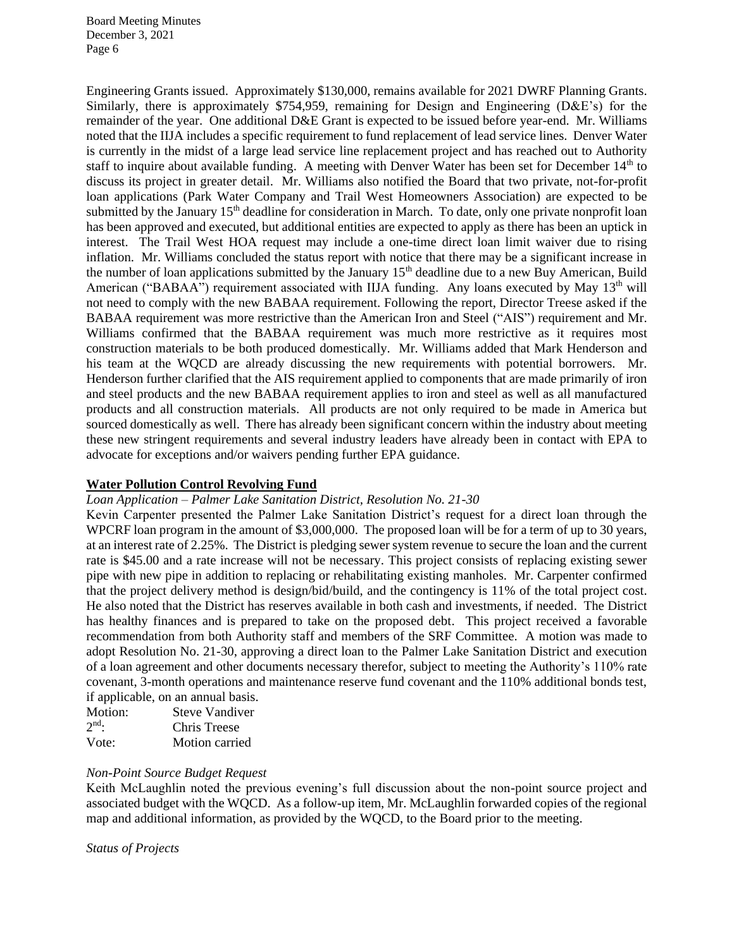Engineering Grants issued. Approximately \$130,000, remains available for 2021 DWRF Planning Grants. Similarly, there is approximately \$754,959, remaining for Design and Engineering (D&E's) for the remainder of the year. One additional D&E Grant is expected to be issued before year-end. Mr. Williams noted that the IIJA includes a specific requirement to fund replacement of lead service lines. Denver Water is currently in the midst of a large lead service line replacement project and has reached out to Authority staff to inquire about available funding. A meeting with Denver Water has been set for December  $14<sup>th</sup>$  to discuss its project in greater detail. Mr. Williams also notified the Board that two private, not-for-profit loan applications (Park Water Company and Trail West Homeowners Association) are expected to be submitted by the January 15<sup>th</sup> deadline for consideration in March. To date, only one private nonprofit loan has been approved and executed, but additional entities are expected to apply as there has been an uptick in interest. The Trail West HOA request may include a one-time direct loan limit waiver due to rising inflation. Mr. Williams concluded the status report with notice that there may be a significant increase in the number of loan applications submitted by the January 15th deadline due to a new Buy American, Build American ("BABAA") requirement associated with IIJA funding. Any loans executed by May  $13<sup>th</sup>$  will not need to comply with the new BABAA requirement. Following the report, Director Treese asked if the BABAA requirement was more restrictive than the American Iron and Steel ("AIS") requirement and Mr. Williams confirmed that the BABAA requirement was much more restrictive as it requires most construction materials to be both produced domestically. Mr. Williams added that Mark Henderson and his team at the WQCD are already discussing the new requirements with potential borrowers. Mr. Henderson further clarified that the AIS requirement applied to components that are made primarily of iron and steel products and the new BABAA requirement applies to iron and steel as well as all manufactured products and all construction materials. All products are not only required to be made in America but sourced domestically as well. There has already been significant concern within the industry about meeting these new stringent requirements and several industry leaders have already been in contact with EPA to advocate for exceptions and/or waivers pending further EPA guidance.

# **Water Pollution Control Revolving Fund**

#### *Loan Application – Palmer Lake Sanitation District, Resolution No. 21-30*

Kevin Carpenter presented the Palmer Lake Sanitation District's request for a direct loan through the WPCRF loan program in the amount of \$3,000,000. The proposed loan will be for a term of up to 30 years, at an interest rate of 2.25%. The District is pledging sewer system revenue to secure the loan and the current rate is \$45.00 and a rate increase will not be necessary. This project consists of replacing existing sewer pipe with new pipe in addition to replacing or rehabilitating existing manholes. Mr. Carpenter confirmed that the project delivery method is design/bid/build, and the contingency is 11% of the total project cost. He also noted that the District has reserves available in both cash and investments, if needed. The District has healthy finances and is prepared to take on the proposed debt. This project received a favorable recommendation from both Authority staff and members of the SRF Committee. A motion was made to adopt Resolution No. 21-30, approving a direct loan to the Palmer Lake Sanitation District and execution of a loan agreement and other documents necessary therefor, subject to meeting the Authority's 110% rate covenant, 3-month operations and maintenance reserve fund covenant and the 110% additional bonds test, if applicable, on an annual basis.

| Motion: | <b>Steve Vandiver</b> |
|---------|-----------------------|
| $2nd$ . | Chris Treese          |
| Vote:   | Motion carried        |

#### *Non-Point Source Budget Request*

Keith McLaughlin noted the previous evening's full discussion about the non-point source project and associated budget with the WQCD. As a follow-up item, Mr. McLaughlin forwarded copies of the regional map and additional information, as provided by the WQCD, to the Board prior to the meeting.

*Status of Projects*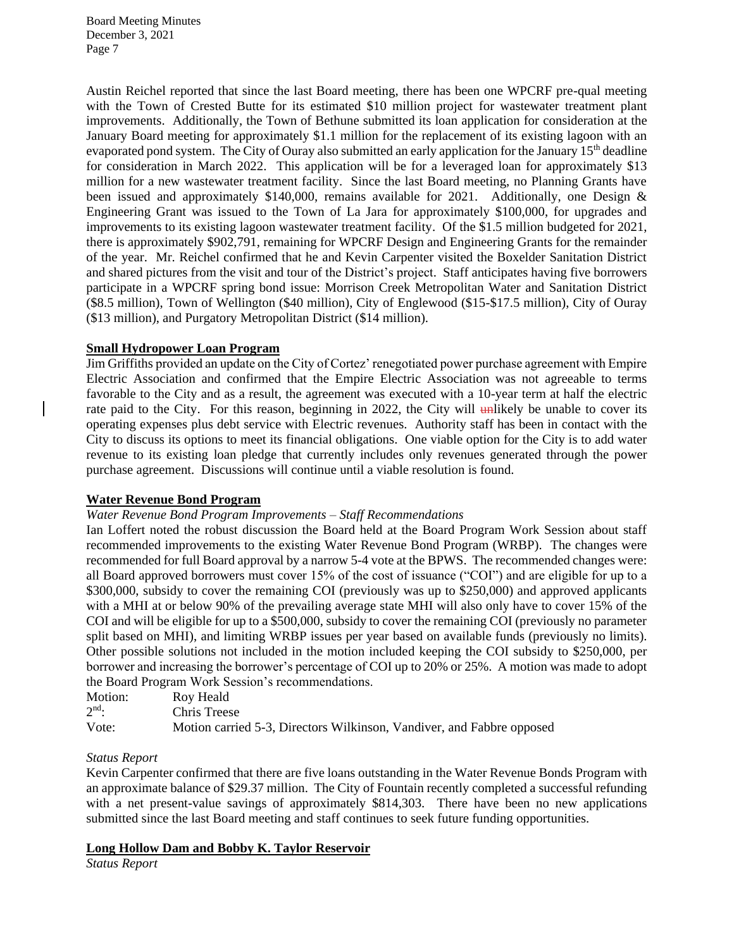Austin Reichel reported that since the last Board meeting, there has been one WPCRF pre-qual meeting with the Town of Crested Butte for its estimated \$10 million project for wastewater treatment plant improvements. Additionally, the Town of Bethune submitted its loan application for consideration at the January Board meeting for approximately \$1.1 million for the replacement of its existing lagoon with an evaporated pond system. The City of Ouray also submitted an early application for the January  $15<sup>th</sup>$  deadline for consideration in March 2022. This application will be for a leveraged loan for approximately \$13 million for a new wastewater treatment facility. Since the last Board meeting, no Planning Grants have been issued and approximately \$140,000, remains available for 2021. Additionally, one Design  $\&$ Engineering Grant was issued to the Town of La Jara for approximately \$100,000, for upgrades and improvements to its existing lagoon wastewater treatment facility. Of the \$1.5 million budgeted for 2021, there is approximately \$902,791, remaining for WPCRF Design and Engineering Grants for the remainder of the year. Mr. Reichel confirmed that he and Kevin Carpenter visited the Boxelder Sanitation District and shared pictures from the visit and tour of the District's project. Staff anticipates having five borrowers participate in a WPCRF spring bond issue: Morrison Creek Metropolitan Water and Sanitation District (\$8.5 million), Town of Wellington (\$40 million), City of Englewood (\$15-\$17.5 million), City of Ouray (\$13 million), and Purgatory Metropolitan District (\$14 million).

# **Small Hydropower Loan Program**

Jim Griffiths provided an update on the City of Cortez' renegotiated power purchase agreement with Empire Electric Association and confirmed that the Empire Electric Association was not agreeable to terms favorable to the City and as a result, the agreement was executed with a 10-year term at half the electric rate paid to the City. For this reason, beginning in 2022, the City will  $\frac{1}{2}$  unlikely be unable to cover its operating expenses plus debt service with Electric revenues. Authority staff has been in contact with the City to discuss its options to meet its financial obligations. One viable option for the City is to add water revenue to its existing loan pledge that currently includes only revenues generated through the power purchase agreement. Discussions will continue until a viable resolution is found.

# **Water Revenue Bond Program**

# *Water Revenue Bond Program Improvements – Staff Recommendations*

Ian Loffert noted the robust discussion the Board held at the Board Program Work Session about staff recommended improvements to the existing Water Revenue Bond Program (WRBP). The changes were recommended for full Board approval by a narrow 5-4 vote at the BPWS. The recommended changes were: all Board approved borrowers must cover 15% of the cost of issuance ("COI") and are eligible for up to a \$300,000, subsidy to cover the remaining COI (previously was up to \$250,000) and approved applicants with a MHI at or below 90% of the prevailing average state MHI will also only have to cover 15% of the COI and will be eligible for up to a \$500,000, subsidy to cover the remaining COI (previously no parameter split based on MHI), and limiting WRBP issues per year based on available funds (previously no limits). Other possible solutions not included in the motion included keeping the COI subsidy to \$250,000, per borrower and increasing the borrower's percentage of COI up to 20% or 25%. A motion was made to adopt the Board Program Work Session's recommendations.

| Motion: | Roy Heald                                                             |
|---------|-----------------------------------------------------------------------|
| $2nd$ : | Chris Treese                                                          |
| Vote:   | Motion carried 5-3, Directors Wilkinson, Vandiver, and Fabbre opposed |

#### *Status Report*

Kevin Carpenter confirmed that there are five loans outstanding in the Water Revenue Bonds Program with an approximate balance of \$29.37 million. The City of Fountain recently completed a successful refunding with a net present-value savings of approximately \$814,303. There have been no new applications submitted since the last Board meeting and staff continues to seek future funding opportunities.

#### **Long Hollow Dam and Bobby K. Taylor Reservoir**

*Status Report*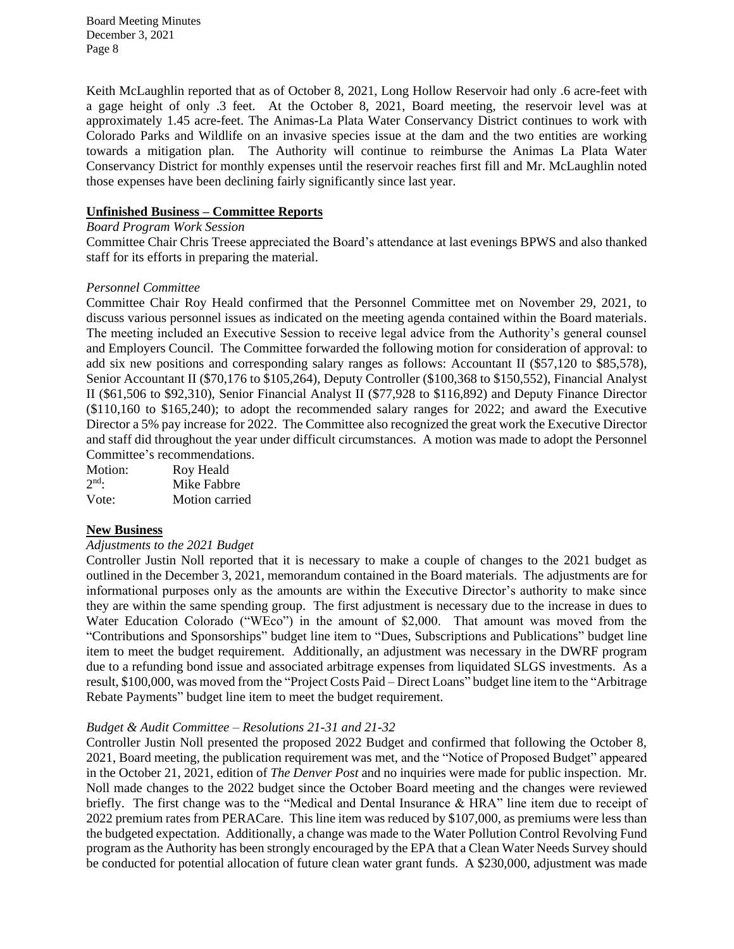Keith McLaughlin reported that as of October 8, 2021, Long Hollow Reservoir had only .6 acre-feet with a gage height of only .3 feet. At the October 8, 2021, Board meeting, the reservoir level was at approximately 1.45 acre-feet. The Animas-La Plata Water Conservancy District continues to work with Colorado Parks and Wildlife on an invasive species issue at the dam and the two entities are working towards a mitigation plan. The Authority will continue to reimburse the Animas La Plata Water Conservancy District for monthly expenses until the reservoir reaches first fill and Mr. McLaughlin noted those expenses have been declining fairly significantly since last year.

# **Unfinished Business – Committee Reports**

# *Board Program Work Session*

Committee Chair Chris Treese appreciated the Board's attendance at last evenings BPWS and also thanked staff for its efforts in preparing the material.

#### *Personnel Committee*

Committee Chair Roy Heald confirmed that the Personnel Committee met on November 29, 2021, to discuss various personnel issues as indicated on the meeting agenda contained within the Board materials. The meeting included an Executive Session to receive legal advice from the Authority's general counsel and Employers Council. The Committee forwarded the following motion for consideration of approval: to add six new positions and corresponding salary ranges as follows: Accountant II (\$57,120 to \$85,578), Senior Accountant II (\$70,176 to \$105,264), Deputy Controller (\$100,368 to \$150,552), Financial Analyst II (\$61,506 to \$92,310), Senior Financial Analyst II (\$77,928 to \$116,892) and Deputy Finance Director (\$110,160 to \$165,240); to adopt the recommended salary ranges for 2022; and award the Executive Director a 5% pay increase for 2022. The Committee also recognized the great work the Executive Director and staff did throughout the year under difficult circumstances. A motion was made to adopt the Personnel Committee's recommendations.

| Motion: | Roy Heald      |
|---------|----------------|
| $2nd$ : | Mike Fabbre    |
| Vote:   | Motion carried |

# **New Business**

#### *Adjustments to the 2021 Budget*

Controller Justin Noll reported that it is necessary to make a couple of changes to the 2021 budget as outlined in the December 3, 2021, memorandum contained in the Board materials. The adjustments are for informational purposes only as the amounts are within the Executive Director's authority to make since they are within the same spending group. The first adjustment is necessary due to the increase in dues to Water Education Colorado ("WEco") in the amount of \$2,000. That amount was moved from the "Contributions and Sponsorships" budget line item to "Dues, Subscriptions and Publications" budget line item to meet the budget requirement. Additionally, an adjustment was necessary in the DWRF program due to a refunding bond issue and associated arbitrage expenses from liquidated SLGS investments. As a result, \$100,000, was moved from the "Project Costs Paid – Direct Loans" budget line item to the "Arbitrage Rebate Payments" budget line item to meet the budget requirement.

# *Budget & Audit Committee – Resolutions 21-31 and 21-32*

Controller Justin Noll presented the proposed 2022 Budget and confirmed that following the October 8, 2021, Board meeting, the publication requirement was met, and the "Notice of Proposed Budget" appeared in the October 21, 2021, edition of *The Denver Post* and no inquiries were made for public inspection. Mr. Noll made changes to the 2022 budget since the October Board meeting and the changes were reviewed briefly. The first change was to the "Medical and Dental Insurance & HRA" line item due to receipt of 2022 premium rates from PERACare. This line item was reduced by \$107,000, as premiums were less than the budgeted expectation. Additionally, a change was made to the Water Pollution Control Revolving Fund program as the Authority has been strongly encouraged by the EPA that a Clean Water Needs Survey should be conducted for potential allocation of future clean water grant funds. A \$230,000, adjustment was made